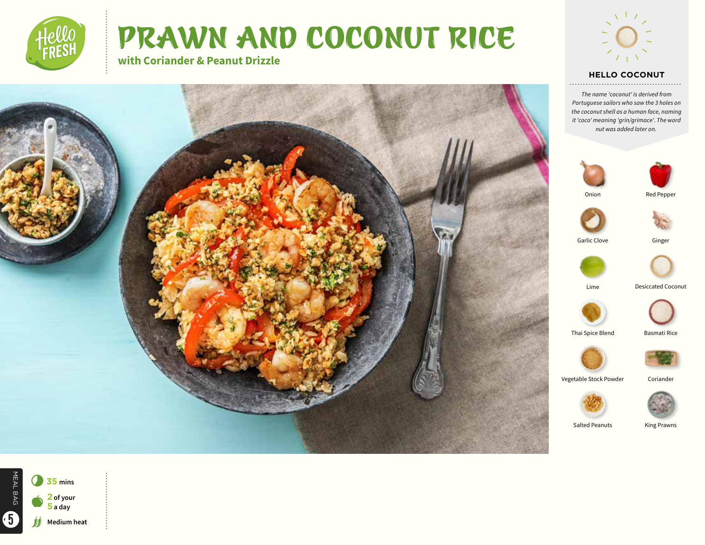

# PRAWN AND COCONUT RICE

**with Coriander & Peanut Drizzle**



### **HELLO COCONUT**

*The name 'coconut' is derived from Portuguese sailors who saw the 3 holes on the coconut shell as a human face, naming it 'coco' meaning 'grin/grimace'. The word nut was added later on.*





Onion









Lime Desiccated Coconut









Vegetable Stock Powder Coriander



Salted Peanuts King Prawns

MEAL BAG MEAL BAG 7**<sup>35</sup> mins** a **<sup>2</sup> of your 5 a day** 5**Medium heat**